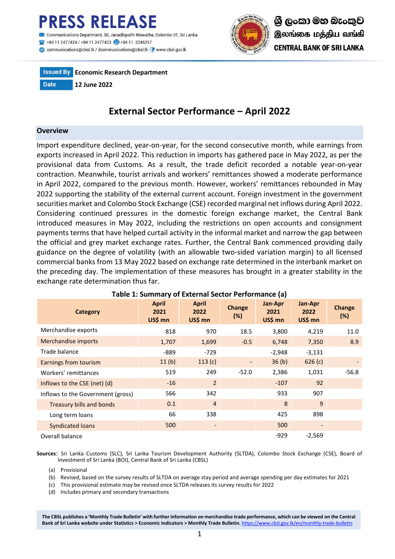

Communications@cbsl.lk / dcommunications@cbsl.lk <a>
www.cbsl.gov.lk</a>





# **External Sector Performance – April 2022**

#### **Overview**

Import expenditure declined, year-on-year, for the second consecutive month, while earnings from exports increased in April 2022. This reduction in imports has gathered pace in May 2022, as per the provisional data from Customs. As a result, the trade deficit recorded a notable year-on-year contraction. Meanwhile, tourist arrivals and workers' remittances showed a moderate performance in April 2022, compared to the previous month. However, workers' remittances rebounded in May 2022 supporting the stability of the external current account. Foreign investment in the government securities market and Colombo Stock Exchange (CSE) recorded marginal net inflows during April 2022. Considering continued pressures in the domestic foreign exchange market, the Central Bank introduced measures in May 2022, including the restrictions on open accounts and consignment payments terms that have helped curtail activity in the informal market and narrow the gap between the official and grey market exchange rates. Further, the Central Bank commenced providing daily guidance on the degree of volatility (with an allowable two-sided variation margin) to all licensed commercial banks from 13 May 2022 based on exchange rate determined in the interbank market on the preceding day. The implementation of these measures has brought in a greater stability in the exchange rate determination thus far.

| Category                          | <b>April</b><br>2021<br>US\$ mn | <b>April</b><br>2022<br>US\$ mn | <b>Change</b><br>(%) | Jan-Apr<br>2021<br>US\$ mn | Jan-Apr<br>2022<br>US\$ mn | <b>Change</b><br>$(\%)$ |
|-----------------------------------|---------------------------------|---------------------------------|----------------------|----------------------------|----------------------------|-------------------------|
| Merchandise exports               | 818                             | 970                             | 18.5                 | 3,800                      | 4,219                      | 11.0                    |
| Merchandise imports               | 1,707                           | 1,699                           | $-0.5$               | 6,748                      | 7,350                      | 8.9                     |
| Trade balance                     | $-889$                          | $-729$                          |                      | $-2,948$                   | $-3,131$                   |                         |
| Earnings from tourism             | 11(b)                           | 113(c)                          |                      | 36 <sub>(b)</sub>          | 626(c)                     |                         |
| Workers' remittances              | 519                             | 249                             | $-52.0$              | 2,386                      | 1,031                      | $-56.8$                 |
| Inflows to the CSE (net) (d)      | $-16$                           | $\overline{2}$                  |                      | $-107$                     | 92                         |                         |
| Inflows to the Government (gross) | 566                             | 342                             |                      | 933                        | 907                        |                         |
| <b>Treasury bills and bonds</b>   | 0.1                             | $\overline{4}$                  |                      | 8                          | 9                          |                         |
| Long term loans                   | 66                              | 338                             |                      | 425                        | 898                        |                         |
| <b>Syndicated loans</b>           | 500                             |                                 |                      | 500                        |                            |                         |
| Overall balance                   |                                 |                                 |                      | $-929$                     | $-2,569$                   |                         |

## **Table 1: Summary of External Sector Performance (a)**

**Sources**: Sri Lanka Customs (SLC), Sri Lanka Tourism Development Authority (SLTDA), Colombo Stock Exchange (CSE), Board of Investment of Sri Lanka (BOI), Central Bank of Sri Lanka (CBSL)

(a) Provisional

(b) Revised, based on the survey results of SLTDA on average stay period and average spending per day estimates for 2021

(c) This provisional estimate may be revised once SLTDA releases its survey results for 2022

(d) Includes primary and secondary transactions

**The CBSL publishes a 'Monthly Trade Bulletin' with further information on merchandise trade performance, which can be viewed on the Central**  Bank of Sri Lanka website under Statistics > Economic Indicators > Monthly Trade Bulletin. <https://www.cbsl.gov.lk/en/monthly-trade-bulletin>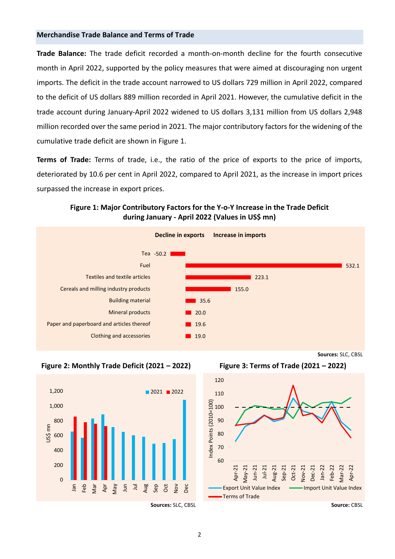## **Merchandise Trade Balance and Terms of Trade**

**Trade Balance:** The trade deficit recorded a month-on-month decline for the fourth consecutive month in April 2022, supported by the policy measures that were aimed at discouraging non urgent imports. The deficit in the trade account narrowed to US dollars 729 million in April 2022, compared to the deficit of US dollars 889 million recorded in April 2021. However, the cumulative deficit in the trade account during January-April 2022 widened to US dollars 3,131 million from US dollars 2,948 million recorded over the same period in 2021. The major contributory factors for the widening of the cumulative trade deficit are shown in Figure 1.

**Terms of Trade:** Terms of trade, i.e., the ratio of the price of exports to the price of imports, deteriorated by 10.6 per cent in April 2022, compared to April 2021, as the increase in import prices surpassed the increase in export prices.

**Figure 1: Major Contributory Factors for the Y-o-Y Increase in the Trade Deficit during January - April 2022 (Values in US\$ mn)**







**Sources:** SLC, CBSL

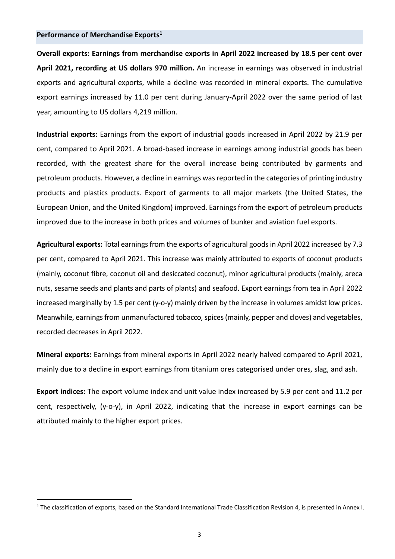#### **Performance of Merchandise Exports<sup>1</sup>**

**Overall exports: Earnings from merchandise exports in April 2022 increased by 18.5 per cent over April 2021, recording at US dollars 970 million.** An increase in earnings was observed in industrial exports and agricultural exports, while a decline was recorded in mineral exports. The cumulative export earnings increased by 11.0 per cent during January-April 2022 over the same period of last year, amounting to US dollars 4,219 million.

**Industrial exports:** Earnings from the export of industrial goods increased in April 2022 by 21.9 per cent, compared to April 2021. A broad-based increase in earnings among industrial goods has been recorded, with the greatest share for the overall increase being contributed by garments and petroleum products. However, a decline in earnings was reported in the categories of printing industry products and plastics products. Export of garments to all major markets (the United States, the European Union, and the United Kingdom) improved. Earnings from the export of petroleum products improved due to the increase in both prices and volumes of bunker and aviation fuel exports.

**Agricultural exports:** Total earnings from the exports of agricultural goods in April 2022 increased by 7.3 per cent, compared to April 2021. This increase was mainly attributed to exports of coconut products (mainly, coconut fibre, coconut oil and desiccated coconut), minor agricultural products (mainly, areca nuts, sesame seeds and plants and parts of plants) and seafood. Export earnings from tea in April 2022 increased marginally by 1.5 per cent (y-o-y) mainly driven by the increase in volumes amidst low prices. Meanwhile, earnings from unmanufactured tobacco, spices(mainly, pepper and cloves) and vegetables, recorded decreases in April 2022.

**Mineral exports:** Earnings from mineral exports in April 2022 nearly halved compared to April 2021, mainly due to a decline in export earnings from titanium ores categorised under ores, slag, and ash.

**Export indices:** The export volume index and unit value index increased by 5.9 per cent and 11.2 per cent, respectively, (y-o-y), in April 2022, indicating that the increase in export earnings can be attributed mainly to the higher export prices.

<sup>1</sup> The classification of exports, based on the Standard International Trade Classification Revision 4, is presented in Annex I.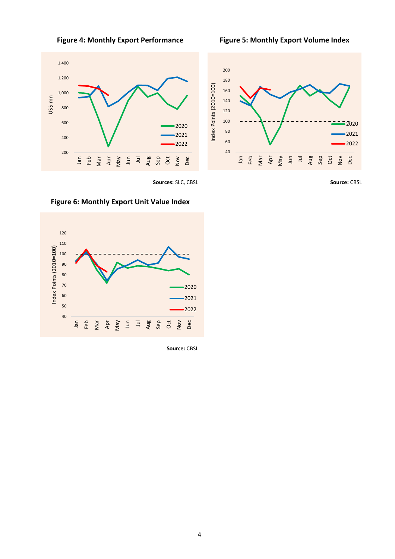

 200 400 600 800 1,000 1,200 1,400 Jan Feb Mar Apr May Jun Jul Aug Sep Oct Nov Dec US\$ mn 2020 2021 2022



**Sources:** SLC, CBSL **Source:** CBSL



**Figure 6: Monthly Export Unit Value Index**

 **Source:** CBSL

4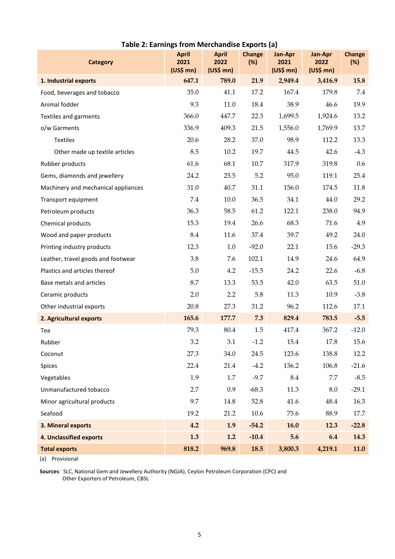| <b>Category</b>                     | <b>April</b><br>2021<br>$(US$$ mn $)$ | <b>April</b><br>2022<br>$(US$$ mn $)$ | <b>Change</b><br>(%) | Jan-Apr<br>2021<br>$(US$$ mn $)$ | Jan-Apr<br>2022<br>$(US$$ mn $)$ | <b>Change</b><br>(%) |
|-------------------------------------|---------------------------------------|---------------------------------------|----------------------|----------------------------------|----------------------------------|----------------------|
| 1. Industrial exports               | 647.1                                 | 789.0                                 | 21.9                 | 2,949.4                          | 3,416.9                          | 15.8                 |
| Food, beverages and tobacco         | 35.0                                  | 41.1                                  | 17.2                 | 167.4                            | 179.8                            | 7.4                  |
| Animal fodder                       | 9.3                                   | 11.0                                  | 18.4                 | 38.9                             | 46.6                             | 19.9                 |
| Textiles and garments               | 366.0                                 | 447.7                                 | 22.3                 | 1,699.5                          | 1,924.6                          | 13.2                 |
| o/w Garments                        | 336.9                                 | 409.3                                 | 21.5                 | 1,556.0                          | 1,769.9                          | 13.7                 |
| <b>Textiles</b>                     | 20.6                                  | 28.2                                  | 37.0                 | 98.9                             | 112.2                            | 13.3                 |
| Other made up textile articles      | 8.5                                   | 10.2                                  | 19.7                 | 44.5                             | 42.6                             | $-4.3$               |
| Rubber products                     | 61.6                                  | 68.1                                  | $10.7\,$             | 317.9                            | 319.8                            | 0.6                  |
| Gems, diamonds and jewellery        | 24.2                                  | 25.5                                  | 5.2                  | 95.0                             | 119.1                            | 25.4                 |
| Machinery and mechanical appliances | 31.0                                  | 40.7                                  | 31.1                 | 156.0                            | 174.5                            | 11.8                 |
| Transport equipment                 | 7.4                                   | 10.0                                  | 36.5                 | 34.1                             | 44.0                             | 29.2                 |
| Petroleum products                  | 36.3                                  | 58.5                                  | 61.2                 | 122.1                            | 238.0                            | 94.9                 |
| Chemical products                   | 15.3                                  | 19.4                                  | 26.6                 | 68.3                             | 71.6                             | 4.9                  |
| Wood and paper products             | 8.4                                   | 11.6                                  | 37.4                 | 39.7                             | 49.2                             | 24.0                 |
| Printing industry products          | 12.3                                  | $1.0\,$                               | $-92.0$              | 22.1                             | 15.6                             | $-29.3$              |
| Leather, travel goods and footwear  | 3.8                                   | 7.6                                   | 102.1                | 14.9                             | 24.6                             | 64.9                 |
| Plastics and articles thereof       | 5.0                                   | 4.2                                   | $-15.5$              | 24.2                             | 22.6                             | $-6.8$               |
| Base metals and articles            | 8.7                                   | 13.3                                  | 53.5                 | 42.0                             | 63.5                             | 51.0                 |
| Ceramic products                    | 2.0                                   | 2.2                                   | 5.8                  | 11.3                             | 10.9                             | $-3.8$               |
| Other industrial exports            | 20.8                                  | 27.3                                  | 31.2                 | 96.2                             | 112.6                            | 17.1                 |
| 2. Agricultural exports             | 165.6                                 | 177.7                                 | 7.3                  | 829.4                            | 783.5                            | $-5.5$               |
| Tea                                 | 79.3                                  | 80.4                                  | 1.5                  | 417.4                            | 367.2                            | $-12.0$              |
| Rubber                              | 3.2                                   | 3.1                                   | $-1.2$               | 15.4                             | 17.8                             | 15.6                 |
| Coconut                             | 27.3                                  | 34.0                                  | 24.5                 | 123.6                            | 138.8                            | 12.2                 |
| Spices                              | 22.4                                  | 21.4                                  | $-4.2$               | 136.2                            | 106.8                            | $-21.6$              |
| Vegetables                          | 1.9                                   | 1.7                                   | $-9.7$               | 8.4                              | 7.7                              | $-8.5$               |
| Unmanufactured tobacco              | 2.7                                   | 0.9                                   | $-68.3$              | 11.3                             | 8.0                              | $-29.1$              |
| Minor agricultural products         | 9.7                                   | 14.8                                  | 52.8                 | 41.6                             | 48.4                             | 16.3                 |
| Seafood                             | 19.2                                  | 21.2                                  | 10.6                 | 75.6                             | 88.9                             | 17.7                 |
| 3. Mineral exports                  | 4.2                                   | 1.9                                   | $-54.2$              | 16.0                             | 12.3                             | $-22.8$              |
| 4. Unclassified exports             | 1.3                                   | 1.2                                   | $-10.4$              | 5.6                              | 6.4                              | 14.3                 |
| <b>Total exports</b>                | 818.2                                 | 969.8                                 | 18.5                 | 3,800.3                          | 4,219.1                          | 11.0                 |

## **Table 2: Earnings from Merchandise Exports (a)**

(a) Provisional

**Sources**: SLC, National Gem and Jewellery Authority (NGJA), Ceylon Petroleum Corporation (CPC) and Other Exporters of Petroleum, CBSL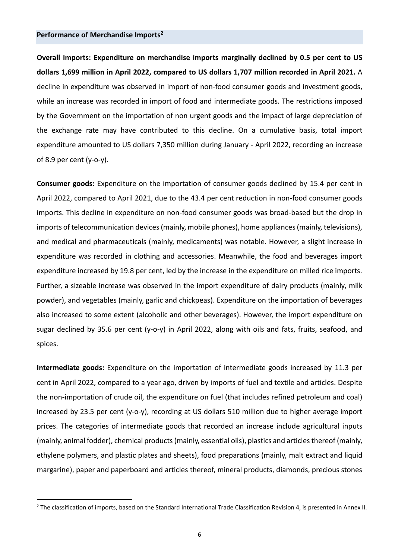### **Performance of Merchandise Imports<sup>2</sup>**

**Overall imports: Expenditure on merchandise imports marginally declined by 0.5 per cent to US dollars 1,699 million in April 2022, compared to US dollars 1,707 million recorded in April 2021.** A decline in expenditure was observed in import of non-food consumer goods and investment goods, while an increase was recorded in import of food and intermediate goods. The restrictions imposed by the Government on the importation of non urgent goods and the impact of large depreciation of the exchange rate may have contributed to this decline. On a cumulative basis, total import expenditure amounted to US dollars 7,350 million during January - April 2022, recording an increase of 8.9 per cent  $(y$ -o-y).

**Consumer goods:** Expenditure on the importation of consumer goods declined by 15.4 per cent in April 2022, compared to April 2021, due to the 43.4 per cent reduction in non-food consumer goods imports. This decline in expenditure on non-food consumer goods was broad-based but the drop in imports of telecommunication devices (mainly, mobile phones), home appliances (mainly, televisions), and medical and pharmaceuticals (mainly, medicaments) was notable. However, a slight increase in expenditure was recorded in clothing and accessories. Meanwhile, the food and beverages import expenditure increased by 19.8 per cent, led by the increase in the expenditure on milled rice imports. Further, a sizeable increase was observed in the import expenditure of dairy products (mainly, milk powder), and vegetables (mainly, garlic and chickpeas). Expenditure on the importation of beverages also increased to some extent (alcoholic and other beverages). However, the import expenditure on sugar declined by 35.6 per cent (y-o-y) in April 2022, along with oils and fats, fruits, seafood, and spices.

**Intermediate goods:** Expenditure on the importation of intermediate goods increased by 11.3 per cent in April 2022, compared to a year ago, driven by imports of fuel and textile and articles. Despite the non-importation of crude oil, the expenditure on fuel (that includes refined petroleum and coal) increased by 23.5 per cent (y-o-y), recording at US dollars 510 million due to higher average import prices. The categories of intermediate goods that recorded an increase include agricultural inputs (mainly, animal fodder), chemical products (mainly, essential oils), plastics and articles thereof (mainly, ethylene polymers, and plastic plates and sheets), food preparations (mainly, malt extract and liquid margarine), paper and paperboard and articles thereof, mineral products, diamonds, precious stones

<sup>&</sup>lt;sup>2</sup> The classification of imports, based on the Standard International Trade Classification Revision 4, is presented in Annex II.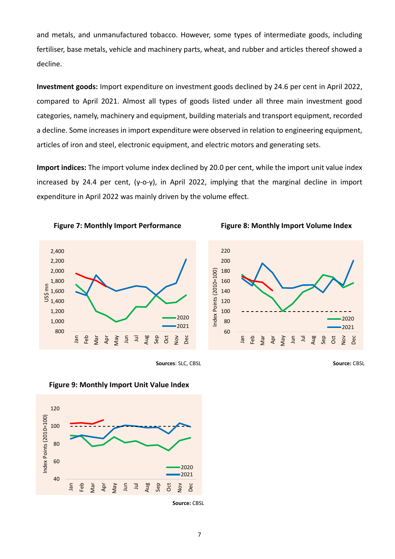and metals, and unmanufactured tobacco. However, some types of intermediate goods, including fertiliser, base metals, vehicle and machinery parts, wheat, and rubber and articles thereof showed a decline.

**Investment goods:** Import expenditure on investment goods declined by 24.6 per cent in April 2022, compared to April 2021. Almost all types of goods listed under all three main investment good categories, namely, machinery and equipment, building materials and transport equipment, recorded a decline. Some increases in import expenditure were observed in relation to engineering equipment, articles of iron and steel, electronic equipment, and electric motors and generating sets.

**Import indices:** The import volume index declined by 20.0 per cent, while the import unit value index increased by 24.4 per cent, (y-o-y), in April 2022, implying that the marginal decline in import expenditure in April 2022 was mainly driven by the volume effect.











**Figure 9: Monthly Import Unit Value Index**

**Source:** CBSL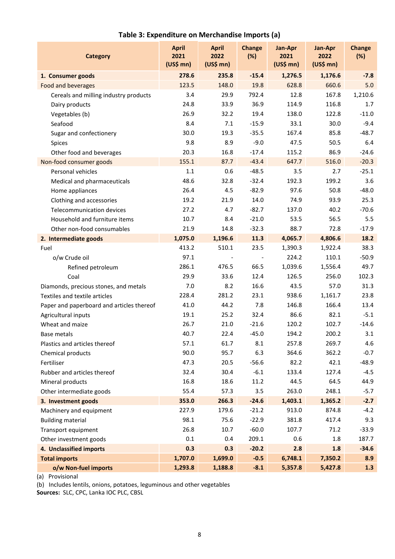| <b>Category</b>                           | <b>April</b><br>2021<br>$(US$$ mn $)$ | <b>April</b><br>2022<br>$(US$$ mn $)$ | <b>Change</b><br>(%) | Jan-Apr<br>2021<br>$(US$$ mn $)$ | Jan-Apr<br>2022<br>$(US$$ mn $)$ | <b>Change</b><br>(%) |
|-------------------------------------------|---------------------------------------|---------------------------------------|----------------------|----------------------------------|----------------------------------|----------------------|
| 1. Consumer goods                         | 278.6                                 | 235.8                                 | $-15.4$              | 1,276.5                          | 1,176.6                          | $-7.8$               |
| Food and beverages                        | 123.5                                 | 148.0                                 | 19.8                 | 628.8                            | 660.6                            | 5.0                  |
| Cereals and milling industry products     | 3.4                                   | 29.9                                  | 792.4                | 12.8                             | 167.8                            | 1,210.6              |
| Dairy products                            | 24.8                                  | 33.9                                  | 36.9                 | 114.9                            | 116.8                            | 1.7                  |
| Vegetables (b)                            | 26.9                                  | 32.2                                  | 19.4                 | 138.0                            | 122.8                            | $-11.0$              |
| Seafood                                   | 8.4                                   | 7.1                                   | $-15.9$              | 33.1                             | 30.0                             | $-9.4$               |
| Sugar and confectionery                   | 30.0                                  | 19.3                                  | $-35.5$              | 167.4                            | 85.8                             | $-48.7$              |
| Spices                                    | 9.8                                   | 8.9                                   | $-9.0$               | 47.5                             | 50.5                             | 6.4                  |
| Other food and beverages                  | 20.3                                  | 16.8                                  | $-17.4$              | 115.2                            | 86.9                             | $-24.6$              |
| Non-food consumer goods                   | 155.1                                 | 87.7                                  | $-43.4$              | 647.7                            | 516.0                            | $-20.3$              |
| Personal vehicles                         | 1.1                                   | 0.6                                   | $-48.5$              | 3.5                              | 2.7                              | $-25.1$              |
| Medical and pharmaceuticals               | 48.6                                  | 32.8                                  | $-32.4$              | 192.3                            | 199.2                            | 3.6                  |
| Home appliances                           | 26.4                                  | 4.5                                   | $-82.9$              | 97.6                             | 50.8                             | $-48.0$              |
| Clothing and accessories                  | 19.2                                  | 21.9                                  | 14.0                 | 74.9                             | 93.9                             | 25.3                 |
| Telecommunication devices                 | 27.2                                  | 4.7                                   | $-82.7$              | 137.0                            | 40.2                             | $-70.6$              |
| Household and furniture items             | 10.7                                  | 8.4                                   | $-21.0$              | 53.5                             | 56.5                             | 5.5                  |
| Other non-food consumables                | 21.9                                  | 14.8                                  | $-32.3$              | 88.7                             | 72.8                             | $-17.9$              |
| 2. Intermediate goods                     | 1,075.0                               | 1,196.6                               | 11.3                 | 4,065.7                          | 4,806.6                          | 18.2                 |
| Fuel                                      | 413.2                                 | 510.1                                 | 23.5                 | 1,390.3                          | 1,922.4                          | 38.3                 |
| o/w Crude oil                             | 97.1                                  |                                       |                      | 224.2                            | 110.1                            | $-50.9$              |
| Refined petroleum                         | 286.1                                 | 476.5                                 | 66.5                 | 1,039.6                          | 1,556.4                          | 49.7                 |
| Coal                                      | 29.9                                  | 33.6                                  | 12.4                 | 126.5                            | 256.0                            | 102.3                |
| Diamonds, precious stones, and metals     | 7.0                                   | 8.2                                   | 16.6                 | 43.5                             | 57.0                             | 31.3                 |
| Textiles and textile articles             | 228.4                                 | 281.2                                 | 23.1                 | 938.6                            | 1,161.7                          | 23.8                 |
| Paper and paperboard and articles thereof | 41.0                                  | 44.2                                  | 7.8                  | 146.8                            | 166.4                            | 13.4                 |
| Agricultural inputs                       | 19.1                                  | 25.2                                  | 32.4                 | 86.6                             | 82.1                             | $-5.1$               |
| Wheat and maize                           | 26.7                                  | 21.0                                  | $-21.6$              | 120.2                            | 102.7                            | $-14.6$              |
| <b>Base metals</b>                        | 40.7                                  | 22.4                                  | $-45.0$              | 194.2                            | 200.2                            | 3.1                  |
| Plastics and articles thereof             | 57.1                                  | 61.7                                  | 8.1                  | 257.8                            | 269.7                            | 4.6                  |
| Chemical products                         | 90.0                                  | 95.7                                  | 6.3                  | 364.6                            | 362.2                            | $-0.7$               |
| Fertiliser                                | 47.3                                  | 20.5                                  | $-56.6$              | 82.2                             | 42.1                             | $-48.9$              |
| Rubber and articles thereof               | 32.4                                  | 30.4                                  | $-6.1$               | 133.4                            | 127.4                            | $-4.5$               |
| Mineral products                          | 16.8                                  | 18.6                                  | 11.2                 | 44.5                             | 64.5                             | 44.9                 |
| Other intermediate goods                  | 55.4                                  | 57.3                                  | 3.5                  | 263.0                            | 248.1                            | $-5.7$               |
| 3. Investment goods                       | 353.0                                 | 266.3                                 | $-24.6$              | 1,403.1                          | 1,365.2                          | $-2.7$               |
| Machinery and equipment                   | 227.9                                 | 179.6                                 | $-21.2$              | 913.0                            | 874.8                            | $-4.2$               |
| <b>Building material</b>                  | 98.1                                  | 75.6                                  | $-22.9$              | 381.8                            | 417.4                            | 9.3                  |
| Transport equipment                       | 26.8                                  | 10.7                                  | $-60.0$              | 107.7                            | 71.2                             | $-33.9$              |
| Other investment goods                    | 0.1                                   | 0.4                                   | 209.1                | 0.6                              | 1.8                              | 187.7                |
| 4. Unclassified imports                   | 0.3                                   | 0.3                                   | $-20.2$              | 2.8                              | 1.8                              | $-34.6$              |
| <b>Total imports</b>                      | 1,707.0                               | 1,699.0                               | $-0.5$               | 6,748.1                          | 7,350.2                          | 8.9                  |
| o/w Non-fuel imports                      | 1,293.8                               | 1,188.8                               | $-8.1$               | 5,357.8                          | 5,427.8                          | 1.3                  |

## **Table 3: Expenditure on Merchandise Imports (a)**

(a) Provisional

(b) Includes lentils, onions, potatoes, leguminous and other vegetables

**Sources:** SLC, CPC, Lanka IOC PLC, CBSL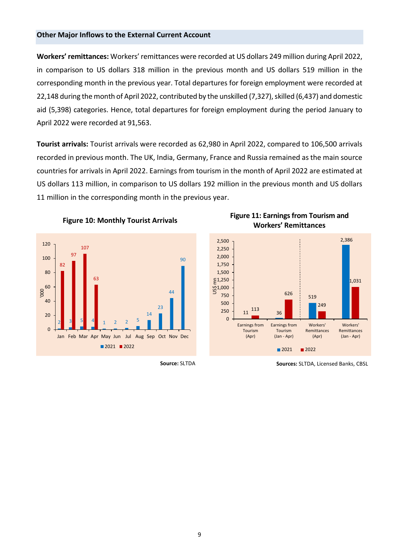#### **Other Major Inflows to the External Current Account**

**Workers' remittances:** Workers' remittances were recorded at US dollars 249 million during April 2022, in comparison to US dollars 318 million in the previous month and US dollars 519 million in the corresponding month in the previous year. Total departures for foreign employment were recorded at 22,148 during the month of April 2022, contributed by the unskilled (7,327), skilled (6,437) and domestic aid (5,398) categories. Hence, total departures for foreign employment during the period January to April 2022 were recorded at 91,563.

**Tourist arrivals:** Tourist arrivals were recorded as 62,980 in April 2022, compared to 106,500 arrivals recorded in previous month. The UK, India, Germany, France and Russia remained as the main source countries for arrivals in April 2022. Earnings from tourism in the month of April 2022 are estimated at US dollars 113 million, in comparison to US dollars 192 million in the previous month and US dollars 11 million in the corresponding month in the previous year.











**Source:** SLTDA **Sources:** SLTDA, Licensed Banks, CBSL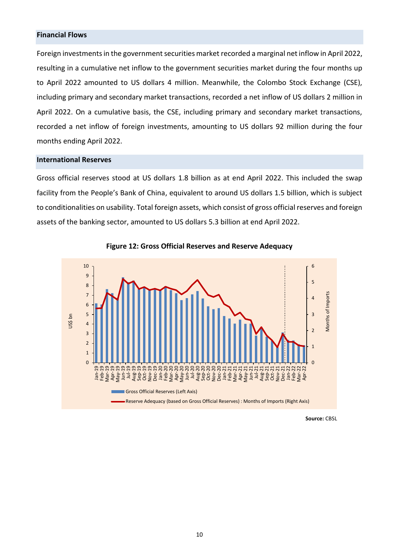## **Financial Flows**

Foreign investments in the government securities market recorded a marginal net inflow in April 2022, resulting in a cumulative net inflow to the government securities market during the four months up to April 2022 amounted to US dollars 4 million. Meanwhile, the Colombo Stock Exchange (CSE), including primary and secondary market transactions, recorded a net inflow of US dollars 2 million in April 2022. On a cumulative basis, the CSE, including primary and secondary market transactions, recorded a net inflow of foreign investments, amounting to US dollars 92 million during the four months ending April 2022.

#### **International Reserves**

Gross official reserves stood at US dollars 1.8 billion as at end April 2022. This included the swap facility from the People's Bank of China, equivalent to around US dollars 1.5 billion, which is subject to conditionalities on usability. Total foreign assets, which consist of gross official reserves and foreign assets of the banking sector, amounted to US dollars 5.3 billion at end April 2022.





**Source: CBSL Source: CBSL**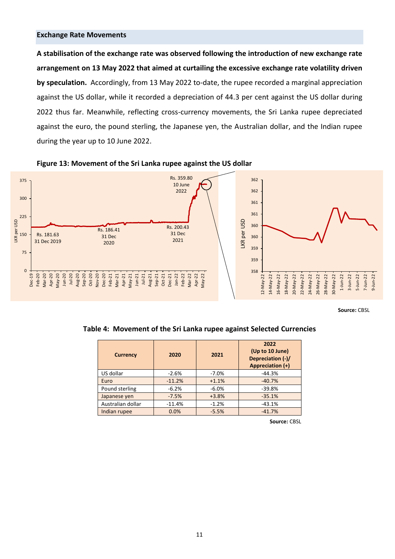#### **Exchange Rate Movements**

**A stabilisation of the exchange rate was observed following the introduction of new exchange rate arrangement on 13 May 2022 that aimed at curtailing the excessive exchange rate volatility driven by speculation.** Accordingly, from 13 May 2022 to-date, the rupee recorded a marginal appreciation against the US dollar, while it recorded a depreciation of 44.3 per cent against the US dollar during 2022 thus far. Meanwhile, reflecting cross-currency movements, the Sri Lanka rupee depreciated against the euro, the pound sterling, the Japanese yen, the Australian dollar, and the Indian rupee during the year up to 10 June 2022.





**Source:** CBSL

**Table 4: Movement of the Sri Lanka rupee against Selected Currencies**

| <b>Currency</b>   | 2020     | 2021    | 2022<br>(Up to 10 June)<br>Depreciation (-)/<br>Appreciation (+) |
|-------------------|----------|---------|------------------------------------------------------------------|
| US dollar         | $-2.6%$  | $-7.0%$ | $-44.3%$                                                         |
| Euro              | $-11.2%$ | $+1.1%$ | $-40.7%$                                                         |
| Pound sterling    | $-6.2%$  | $-6.0%$ | $-39.8%$                                                         |
| Japanese yen      | $-7.5%$  | $+3.8%$ | $-35.1%$                                                         |
| Australian dollar | $-11.4%$ | $-1.2%$ | $-43.1%$                                                         |
| Indian rupee      | 0.0%     | $-5.5%$ | $-41.7%$                                                         |

**Source:** CBSL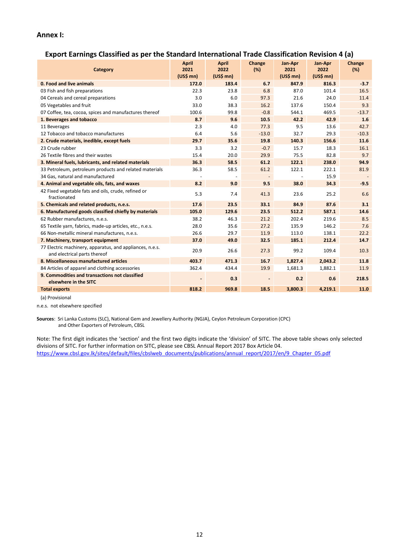### **Annex I:**

## **Export Earnings Classified as per the Standard International Trade Classification Revision 4 (a)**

| Category                                                                                 | <b>April</b><br>2021<br>$(US$$ mn $)$ | <b>April</b><br>2022<br>$(US$$ mn) | Change<br>(%) | Jan-Apr<br>2021<br>$(US$$ mn $)$ | Jan-Apr<br>2022<br>$(US$$ mn $)$ | Change<br>(%) |
|------------------------------------------------------------------------------------------|---------------------------------------|------------------------------------|---------------|----------------------------------|----------------------------------|---------------|
| 0. Food and live animals                                                                 | 172.0                                 | 183.4                              | 6.7           | 847.9                            | 816.3                            | $-3.7$        |
| 03 Fish and fish preparations                                                            | 22.3                                  | 23.8                               | 6.8           | 87.0                             | 101.4                            | 16.5          |
| 04 Cereals and cereal preparations                                                       | 3.0                                   | 6.0                                | 97.3          | 21.6                             | 24.0                             | 11.4          |
| 05 Vegetables and fruit                                                                  | 33.0                                  | 38.3                               | 16.2          | 137.6                            | 150.4                            | 9.3           |
| 07 Coffee, tea, cocoa, spices and manufactures thereof                                   | 100.6                                 | 99.8                               | $-0.8$        | 544.1                            | 469.5                            | $-13.7$       |
| 1. Beverages and tobacco                                                                 | 8.7                                   | 9.6                                | 10.5          | 42.2                             | 42.9                             | 1.6           |
| 11 Beverages                                                                             | 2.3                                   | 4.0                                | 77.3          | 9.5                              | 13.6                             | 42.7          |
| 12 Tobacco and tobacco manufactures                                                      | 6.4                                   | 5.6                                | $-13.0$       | 32.7                             | 29.3                             | $-10.3$       |
| 2. Crude materials, inedible, except fuels                                               | 29.7                                  | 35.6                               | 19.8          | 140.3                            | 156.6                            | 11.6          |
| 23 Crude rubber                                                                          | 3.3                                   | 3.2                                | $-0.7$        | 15.7                             | 18.3                             | 16.1          |
| 26 Textile fibres and their wastes                                                       | 15.4                                  | 20.0                               | 29.9          | 75.5                             | 82.8                             | 9.7           |
| 3. Mineral fuels, lubricants, and related materials                                      | 36.3                                  | 58.5                               | 61.2          | 122.1                            | 238.0                            | 94.9          |
| 33 Petroleum, petroleum products and related materials                                   | 36.3                                  | 58.5                               | 61.2          | 122.1                            | 222.1                            | 81.9          |
| 34 Gas, natural and manufactured                                                         |                                       |                                    |               |                                  | 15.9                             |               |
| 4. Animal and vegetable oils, fats, and waxes                                            | 8.2                                   | 9.0                                | 9.5           | 38.0                             | 34.3                             | $-9.5$        |
| 42 Fixed vegetable fats and oils, crude, refined or<br>fractionated                      | 5.3                                   | 7.4                                | 41.3          | 23.6                             | 25.2                             | 6.6           |
| 5. Chemicals and related products, n.e.s.                                                | 17.6                                  | 23.5                               | 33.1          | 84.9                             | 87.6                             | 3.1           |
| 6. Manufactured goods classified chiefly by materials                                    | 105.0                                 | 129.6                              | 23.5          | 512.2                            | 587.1                            | 14.6          |
| 62 Rubber manufactures, n.e.s.                                                           | 38.2                                  | 46.3                               | 21.2          | 202.4                            | 219.6                            | 8.5           |
| 65 Textile yarn, fabrics, made-up articles, etc., n.e.s.                                 | 28.0                                  | 35.6                               | 27.2          | 135.9                            | 146.2                            | 7.6           |
| 66 Non-metallic mineral manufactures, n.e.s.                                             | 26.6                                  | 29.7                               | 11.9          | 113.0                            | 138.1                            | 22.2          |
| 7. Machinery, transport equipment                                                        | 37.0                                  | 49.0                               | 32.5          | 185.1                            | 212.4                            | 14.7          |
| 77 Electric machinery, apparatus, and appliances, n.e.s.<br>and electrical parts thereof | 20.9                                  | 26.6                               | 27.3          | 99.2                             | 109.4                            | 10.3          |
| 8. Miscellaneous manufactured articles                                                   | 403.7                                 | 471.3                              | 16.7          | 1,827.4                          | 2,043.2                          | 11.8          |
| 84 Articles of apparel and clothing accessories                                          | 362.4                                 | 434.4                              | 19.9          | 1,681.3                          | 1,882.1                          | 11.9          |
| 9. Commodities and transactions not classified<br>elsewhere in the SITC                  |                                       | 0.3                                |               | 0.2                              | 0.6                              | 218.5         |
| <b>Total exports</b>                                                                     | 818.2                                 | 969.8                              | 18.5          | 3,800.3                          | 4,219.1                          | 11.0          |

(a) Provisional

n.e.s. not elsewhere specified

**Sources**: Sri Lanka Customs (SLC), National Gem and Jewellery Authority (NGJA), Ceylon Petroleum Corporation (CPC) and Other Exporters of Petroleum, CBSL

Note: The first digit indicates the 'section' and the first two digits indicate the 'division' of SITC. The above table shows only selected divisions of SITC. For further information on SITC, please see CBSL Annual Report 2017 Box Article 04. [https://www.cbsl.gov.lk/sites/default/files/cbslweb\\_documents/publications/annual\\_report/2017/en/9\\_Chapter\\_05.pdf](https://www.cbsl.gov.lk/sites/default/files/cbslweb_documents/publications/annual_report/2017/en/9_Chapter_05.pdf)